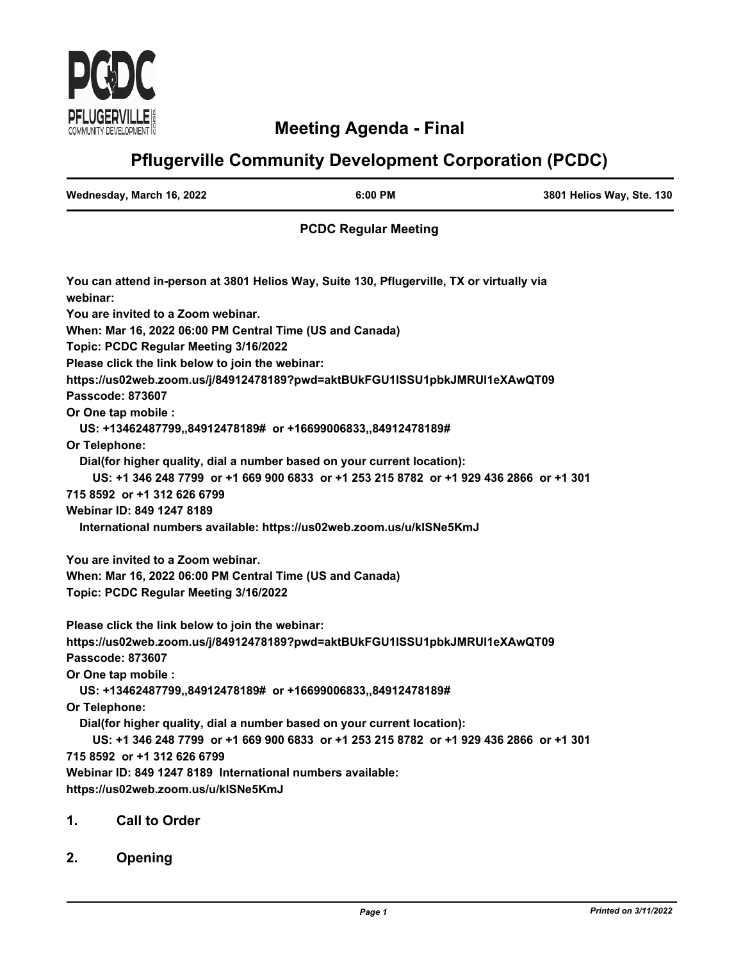

# **Meeting Agenda - Final**

# **Pflugerville Community Development Corporation (PCDC)**

| Wednesday, March 16, 2022 | 6:00 PM | 3801 Helios Way, Ste. 130 |
|---------------------------|---------|---------------------------|
|                           |         |                           |

# **PCDC Regular Meeting**

| You can attend in-person at 3801 Helios Way, Suite 130, Pflugerville, TX or virtually via<br>webinar: |
|-------------------------------------------------------------------------------------------------------|
| You are invited to a Zoom webinar.                                                                    |
| When: Mar 16, 2022 06:00 PM Central Time (US and Canada)                                              |
| Topic: PCDC Regular Meeting 3/16/2022                                                                 |
| Please click the link below to join the webinar:                                                      |
| https://us02web.zoom.us/j/84912478189?pwd=aktBUkFGU1ISSU1pbkJMRUI1eXAwQT09                            |
| <b>Passcode: 873607</b>                                                                               |
| Or One tap mobile :                                                                                   |
| US: +13462487799,,84912478189# or +16699006833,,84912478189#                                          |
| Or Telephone:                                                                                         |
| Dial(for higher quality, dial a number based on your current location):                               |
| US: +1 346 248 7799 or +1 669 900 6833 or +1 253 215 8782 or +1 929 436 2866 or +1 301                |
| 715 8592 or +1 312 626 6799                                                                           |
| Webinar ID: 849 1247 8189                                                                             |
| International numbers available: https://us02web.zoom.us/u/klSNe5KmJ                                  |
| You are invited to a Zoom webinar.                                                                    |
| When: Mar 16, 2022 06:00 PM Central Time (US and Canada)                                              |
| Topic: PCDC Regular Meeting 3/16/2022                                                                 |
| Please click the link below to join the webinar:                                                      |
| https://us02web.zoom.us/j/84912478189?pwd=aktBUkFGU1ISSU1pbkJMRUI1eXAwQT09                            |
| Passcode: 873607                                                                                      |
| Or One tap mobile :                                                                                   |
| US: +13462487799,,84912478189# or +16699006833,,84912478189#                                          |
| Or Telephone:                                                                                         |
| Dial(for higher quality, dial a number based on your current location):                               |
| US: +1 346 248 7799 or +1 669 900 6833 or +1 253 215 8782 or +1 929 436 2866 or +1 301                |
| 715 8592 or +1 312 626 6799                                                                           |
| Webinar ID: 849 1247 8189 International numbers available:                                            |
| https://us02web.zoom.us/u/klSNe5KmJ                                                                   |
| <b>Call to Order</b><br>1.                                                                            |
|                                                                                                       |

**2. Opening**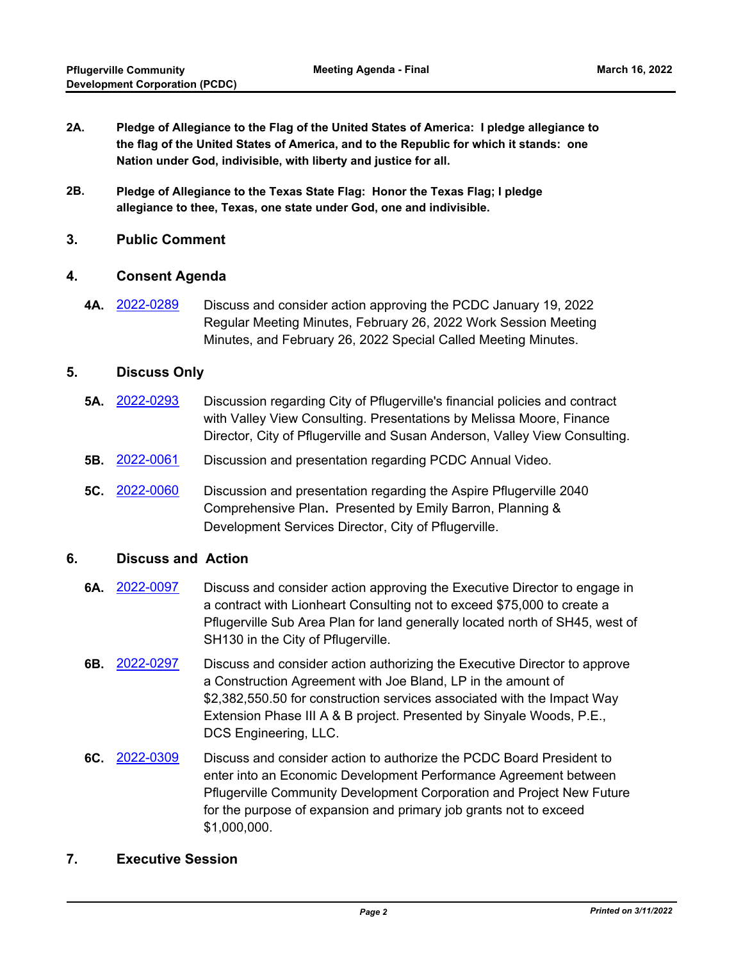- **2A. Pledge of Allegiance to the Flag of the United States of America: I pledge allegiance to the flag of the United States of America, and to the Republic for which it stands: one Nation under God, indivisible, with liberty and justice for all.**
- **2B. Pledge of Allegiance to the Texas State Flag: Honor the Texas Flag; I pledge allegiance to thee, Texas, one state under God, one and indivisible.**

#### **3. Public Comment**

#### **4. Consent Agenda**

**4A.** [2022-0289](http://pflugerville.legistar.com/gateway.aspx?m=l&id=/matter.aspx?key=12999) Discuss and consider action approving the PCDC January 19, 2022 Regular Meeting Minutes, February 26, 2022 Work Session Meeting Minutes, and February 26, 2022 Special Called Meeting Minutes.

#### **5. Discuss Only**

- **5A.** [2022-0293](http://pflugerville.legistar.com/gateway.aspx?m=l&id=/matter.aspx?key=13003) Discussion regarding City of Pflugerville's financial policies and contract with Valley View Consulting. Presentations by Melissa Moore, Finance Director, City of Pflugerville and Susan Anderson, Valley View Consulting.
- **5B.** [2022-0061](http://pflugerville.legistar.com/gateway.aspx?m=l&id=/matter.aspx?key=12766) Discussion and presentation regarding PCDC Annual Video.
- **5C.** [2022-0060](http://pflugerville.legistar.com/gateway.aspx?m=l&id=/matter.aspx?key=12765) Discussion and presentation regarding the Aspire Pflugerville 2040 Comprehensive Plan**.** Presented by Emily Barron, Planning & Development Services Director, City of Pflugerville.

## **6. Discuss and Action**

- **6A.** [2022-0097](http://pflugerville.legistar.com/gateway.aspx?m=l&id=/matter.aspx?key=12802) Discuss and consider action approving the Executive Director to engage in a contract with Lionheart Consulting not to exceed \$75,000 to create a Pflugerville Sub Area Plan for land generally located north of SH45, west of SH130 in the City of Pflugerville.
- **6B.** [2022-0297](http://pflugerville.legistar.com/gateway.aspx?m=l&id=/matter.aspx?key=13007) Discuss and consider action authorizing the Executive Director to approve a Construction Agreement with Joe Bland, LP in the amount of \$2,382,550.50 for construction services associated with the Impact Way Extension Phase III A & B project. Presented by Sinyale Woods, P.E., DCS Engineering, LLC.
- **6C.** [2022-0309](http://pflugerville.legistar.com/gateway.aspx?m=l&id=/matter.aspx?key=13019) Discuss and consider action to authorize the PCDC Board President to enter into an Economic Development Performance Agreement between Pflugerville Community Development Corporation and Project New Future for the purpose of expansion and primary job grants not to exceed \$1,000,000.

## **7. Executive Session**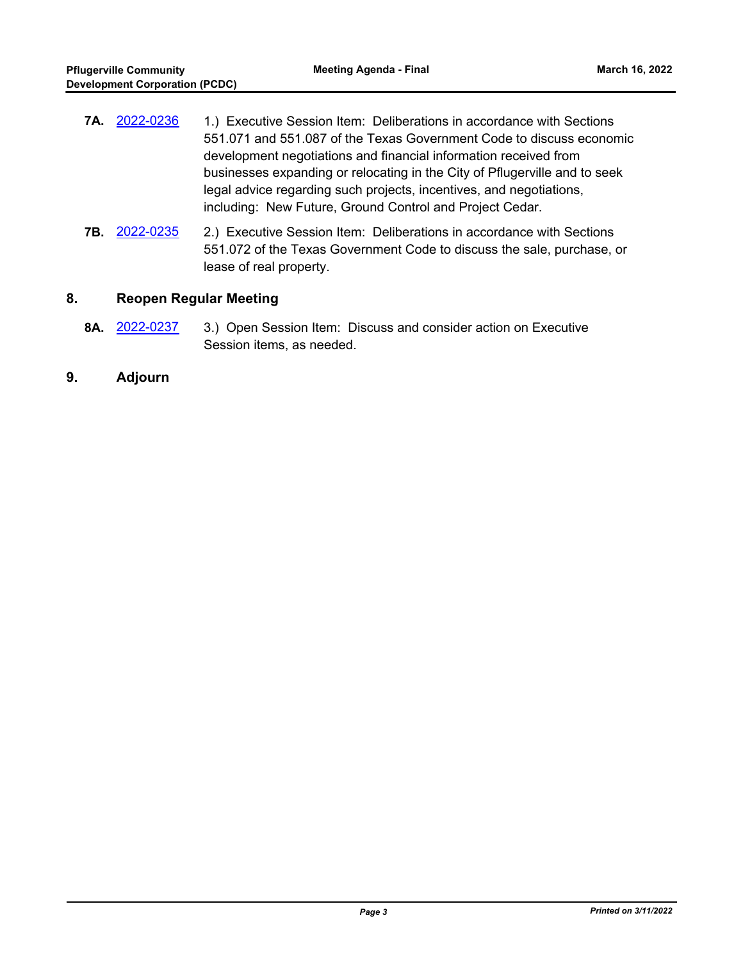| 7A. 2022-0236 | 1.) Executive Session Item: Deliberations in accordance with Sections      |
|---------------|----------------------------------------------------------------------------|
|               | 551.071 and 551.087 of the Texas Government Code to discuss economic       |
|               | development negotiations and financial information received from           |
|               | businesses expanding or relocating in the City of Pflugerville and to seek |
|               | legal advice regarding such projects, incentives, and negotiations,        |
|               | including: New Future, Ground Control and Project Cedar.                   |

**7B.** [2022-0235](http://pflugerville.legistar.com/gateway.aspx?m=l&id=/matter.aspx?key=12943) 2.) Executive Session Item: Deliberations in accordance with Sections 551.072 of the Texas Government Code to discuss the sale, purchase, or lease of real property.

## **8. Reopen Regular Meeting**

- **8A.** [2022-0237](http://pflugerville.legistar.com/gateway.aspx?m=l&id=/matter.aspx?key=12945) 3.) Open Session Item: Discuss and consider action on Executive Session items, as needed.
- **9. Adjourn**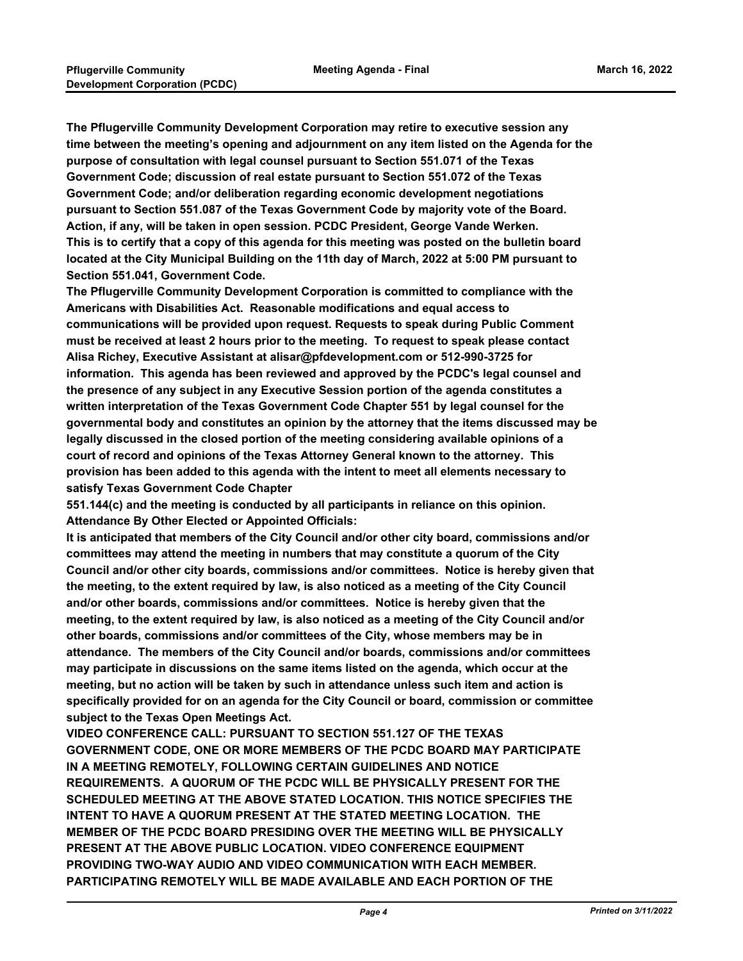**The Pflugerville Community Development Corporation may retire to executive session any time between the meeting's opening and adjournment on any item listed on the Agenda for the purpose of consultation with legal counsel pursuant to Section 551.071 of the Texas Government Code; discussion of real estate pursuant to Section 551.072 of the Texas Government Code; and/or deliberation regarding economic development negotiations pursuant to Section 551.087 of the Texas Government Code by majority vote of the Board. Action, if any, will be taken in open session. PCDC President, George Vande Werken. This is to certify that a copy of this agenda for this meeting was posted on the bulletin board located at the City Municipal Building on the 11th day of March, 2022 at 5:00 PM pursuant to Section 551.041, Government Code.**

**The Pflugerville Community Development Corporation is committed to compliance with the Americans with Disabilities Act. Reasonable modifications and equal access to communications will be provided upon request. Requests to speak during Public Comment must be received at least 2 hours prior to the meeting. To request to speak please contact Alisa Richey, Executive Assistant at alisar@pfdevelopment.com or 512-990-3725 for information. This agenda has been reviewed and approved by the PCDC's legal counsel and the presence of any subject in any Executive Session portion of the agenda constitutes a written interpretation of the Texas Government Code Chapter 551 by legal counsel for the governmental body and constitutes an opinion by the attorney that the items discussed may be legally discussed in the closed portion of the meeting considering available opinions of a court of record and opinions of the Texas Attorney General known to the attorney. This provision has been added to this agenda with the intent to meet all elements necessary to satisfy Texas Government Code Chapter** 

**551.144(c) and the meeting is conducted by all participants in reliance on this opinion. Attendance By Other Elected or Appointed Officials:**

**It is anticipated that members of the City Council and/or other city board, commissions and/or committees may attend the meeting in numbers that may constitute a quorum of the City Council and/or other city boards, commissions and/or committees. Notice is hereby given that the meeting, to the extent required by law, is also noticed as a meeting of the City Council and/or other boards, commissions and/or committees. Notice is hereby given that the meeting, to the extent required by law, is also noticed as a meeting of the City Council and/or other boards, commissions and/or committees of the City, whose members may be in attendance. The members of the City Council and/or boards, commissions and/or committees may participate in discussions on the same items listed on the agenda, which occur at the meeting, but no action will be taken by such in attendance unless such item and action is specifically provided for on an agenda for the City Council or board, commission or committee subject to the Texas Open Meetings Act.** 

**VIDEO CONFERENCE CALL: PURSUANT TO SECTION 551.127 OF THE TEXAS GOVERNMENT CODE, ONE OR MORE MEMBERS OF THE PCDC BOARD MAY PARTICIPATE IN A MEETING REMOTELY, FOLLOWING CERTAIN GUIDELINES AND NOTICE REQUIREMENTS. A QUORUM OF THE PCDC WILL BE PHYSICALLY PRESENT FOR THE SCHEDULED MEETING AT THE ABOVE STATED LOCATION. THIS NOTICE SPECIFIES THE INTENT TO HAVE A QUORUM PRESENT AT THE STATED MEETING LOCATION. THE MEMBER OF THE PCDC BOARD PRESIDING OVER THE MEETING WILL BE PHYSICALLY PRESENT AT THE ABOVE PUBLIC LOCATION. VIDEO CONFERENCE EQUIPMENT PROVIDING TWO-WAY AUDIO AND VIDEO COMMUNICATION WITH EACH MEMBER. PARTICIPATING REMOTELY WILL BE MADE AVAILABLE AND EACH PORTION OF THE**